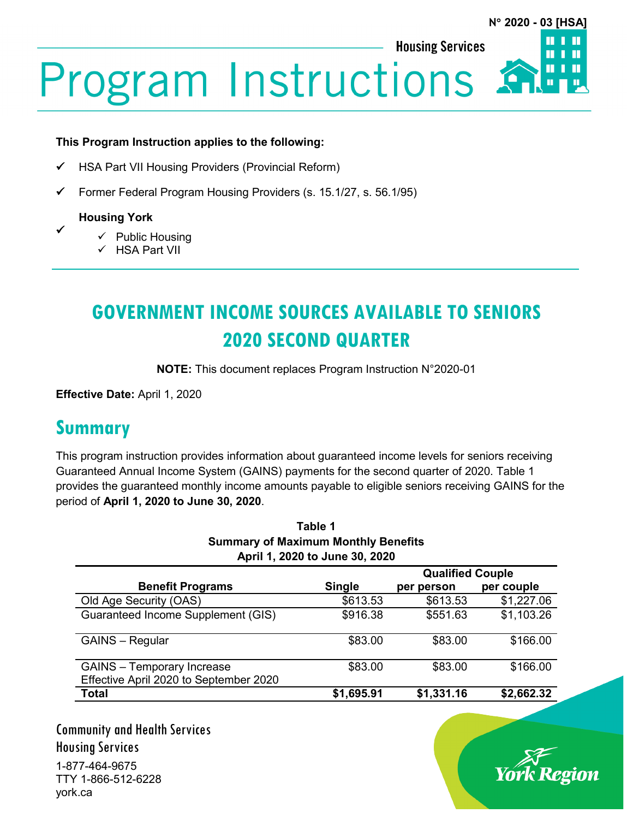**Housing Services** 



# **Program Instructions**

#### **This Program Instruction applies to the following:**

- HSA Part VII Housing Providers (Provincial Reform)
- $\checkmark$  Former Federal Program Housing Providers (s. 15.1/27, s. 56.1/95)

#### **Housing York**

 $\checkmark$ 

- $\checkmark$  Public Housing
- $\checkmark$  HSA Part VII

## **GOVERNMENT INCOME SOURCES AVAILABLE TO SENIORS 2020 SECOND QUARTER**

**NOTE:** This document replaces Program Instruction N°2020-01

**Effective Date:** April 1, 2020

#### **Summary**

This program instruction provides information about guaranteed income levels for seniors receiving Guaranteed Annual Income System (GAINS) payments for the second quarter of 2020. Table 1 provides the guaranteed monthly income amounts payable to eligible seniors receiving GAINS for the period of **April 1, 2020 to June 30, 2020**.

| Table 1<br><b>Summary of Maximum Monthly Benefits</b><br>April 1, 2020 to June 30, 2020 |            |            |            |                         |               |                         |            |
|-----------------------------------------------------------------------------------------|------------|------------|------------|-------------------------|---------------|-------------------------|------------|
|                                                                                         |            |            |            |                         |               | <b>Qualified Couple</b> |            |
|                                                                                         |            |            |            | <b>Benefit Programs</b> | <b>Single</b> | per person              | per couple |
| Old Age Security (OAS)                                                                  | \$613.53   | \$613.53   | \$1,227.06 |                         |               |                         |            |
| Guaranteed Income Supplement (GIS)                                                      | \$916.38   | \$551.63   | \$1,103.26 |                         |               |                         |            |
| <b>GAINS</b> – Regular                                                                  | \$83.00    | \$83.00    | \$166.00   |                         |               |                         |            |
| <b>GAINS</b> - Temporary Increase<br>Effective April 2020 to September 2020             | \$83.00    | \$83.00    | \$166.00   |                         |               |                         |            |
| <b>Total</b>                                                                            | \$1,695.91 | \$1,331.16 | \$2,662.32 |                         |               |                         |            |

Community and Health Services Housing Services 1-877-464-9675 TTY 1-866-512-6228 york.ca

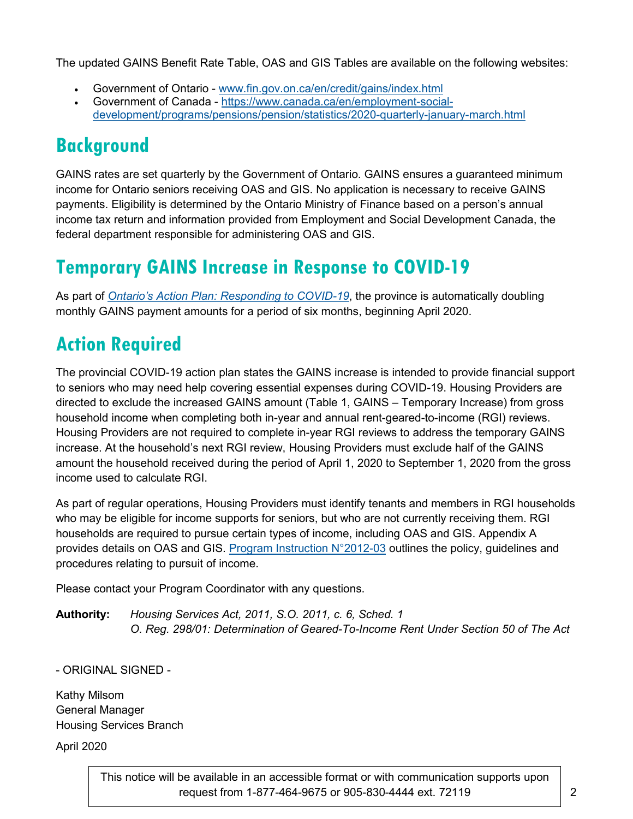The updated GAINS Benefit Rate Table, OAS and GIS Tables are available on the following websites:

- Government of Ontario [www.fin.gov.on.ca/en/credit/gains/index.html](http://www.fin.gov.on.ca/en/credit/gains/index.html)
- Government of Canada [https://www.canada.ca/en/employment-social](https://www.canada.ca/en/employment-social-development/programs/pensions/pension/statistics/2020-quarterly-january-march.html)[development/programs/pensions/pension/statistics/2020-quarterly-january-march.html](https://www.canada.ca/en/employment-social-development/programs/pensions/pension/statistics/2020-quarterly-january-march.html)

## **Background**

GAINS rates are set quarterly by the Government of Ontario. GAINS ensures a guaranteed minimum income for Ontario seniors receiving OAS and GIS. No application is necessary to receive GAINS payments. Eligibility is determined by the Ontario Ministry of Finance based on a person's annual income tax return and information provided from Employment and Social Development Canada, the federal department responsible for administering OAS and GIS.

### **Temporary GAINS Increase in Response to COVID-19**

As part of *Ontario's Action Plan: [Responding to COVID-19](https://budget.ontario.ca/2020/marchupdate/action-plan.html)*, the province is automatically doubling monthly GAINS payment amounts for a period of six months, beginning April 2020.

## **Action Required**

The provincial COVID-19 action plan states the GAINS increase is intended to provide financial support to seniors who may need help covering essential expenses during COVID-19. Housing Providers are directed to exclude the increased GAINS amount (Table 1, GAINS – Temporary Increase) from gross household income when completing both in-year and annual rent-geared-to-income (RGI) reviews. Housing Providers are not required to complete in-year RGI reviews to address the temporary GAINS increase. At the household's next RGI review, Housing Providers must exclude half of the GAINS amount the household received during the period of April 1, 2020 to September 1, 2020 from the gross income used to calculate RGI.

As part of regular operations, Housing Providers must identify tenants and members in RGI households who may be eligible for income supports for seniors, but who are not currently receiving them. RGI households are required to pursue certain types of income, including OAS and GIS. Appendix A provides details on OAS and GIS. [Program Instruction N°2012-03](https://www.york.ca/wps/wcm/connect/yorkpublic/5c54acfc-f789-44e0-ba26-ae36f8f77937/2012-03+Reasonable+Efforts+to+Pursue+Specified+Income+PI.pdf?MOD=AJPERES&CVID=mu87fEl) outlines the policy, guidelines and procedures relating to pursuit of income.

Please contact your Program Coordinator with any questions.

**Authority:** *Housing Services Act, 2011, S.O. 2011, c. 6, Sched. 1 O. Reg. 298/01: Determination of Geared-To-Income Rent Under Section 50 of The Act*

- ORIGINAL SIGNED -

Kathy Milsom General Manager Housing Services Branch

April 2020

This notice will be available in an accessible format or with communication supports upon request from 1-877-464-9675 or 905-830-4444 ext. 72119